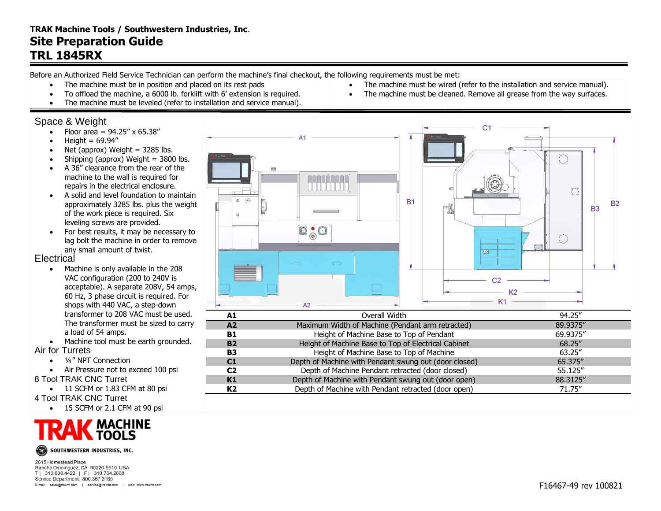## **TRAK Machine Tools / Southwestern Industries, Inc**. **Site Preparation Guide TRL 1845RX**

Before an Authorized Field Service Technician can perform the machine's final checkout, the following requirements must be met:

- The machine must be in position and placed on its rest pads
- To offload the machine, a 6000 lb. forklift with 6' extension is required.
- The machine must be leveled (refer to installation and service manual).

### Space & Weight

- Floor area =  $94.25'' \times 65.38''$
- $\bullet$  Height = 69.94"
- Net (approx) Weight  $=$  3285 lbs.
- Shipping (approx) Weight  $=$  3800 lbs.
- A 36" clearance from the rear of the machine to the wall is required for repairs in the electrical enclosure.
- A solid and level foundation to maintain approximately 3285 lbs. plus the weight of the work piece is required. Six leveling screws are provided.
- For best results, it may be necessary to lag bolt the machine in order to remove any small amount of twist.

### **Electrical**

- Machine is only available in the 208 VAC configuration (200 to 240V is acceptable). A separate 208V, 54 amps, 60 Hz, 3 phase circuit is required. For shops with 440 VAC, a step-down transformer to 208 VAC must be used. The transformer must be sized to carry a load of 54 amps.
- Machine tool must be earth grounded.
- Air for Turrets
	- 1/4" NPT Connection
	- Air Pressure not to exceed 100 psi
- 8 Tool TRAK CNC Turret
	- 11 SCFM or 1.83 CFM at 80 psi
- 4 Tool TRAK CNC Turret
	- 15 SCFM or 2.1 CFM at 90 psi





2615 Homestead Place Rancho Dominguez, CA 90220-5610 USA T| 310.608.4422 | F| 310.764.2668 Service Department: 800.367.3165 E-mail: sales@trakmt.com | service@trakmt.com | web: www.trakmt.com



• The machine must be wired (refer to the installation and service manual). The machine must be cleaned. Remove all grease from the way surfaces.

| A1             | Overall Width                                         | 94.25"   |
|----------------|-------------------------------------------------------|----------|
| A2             | Maximum Width of Machine (Pendant arm retracted)      | 89.9375" |
| <b>B1</b>      | Height of Machine Base to Top of Pendant              | 69.9375" |
| <b>B2</b>      | Height of Machine Base to Top of Electrical Cabinet   | 68.25"   |
| <b>B3</b>      | Height of Machine Base to Top of Machine              | 63.25"   |
| C1             | Depth of Machine with Pendant swung out (door closed) | 65.375"  |
| C <sub>2</sub> | Depth of Machine Pendant retracted (door closed)      | 55.125"  |
| K1             | Depth of Machine with Pendant swung out (door open)   | 88.3125" |
| K2             | Depth of Machine with Pendant retracted (door open)   | 71.75"   |
|                |                                                       |          |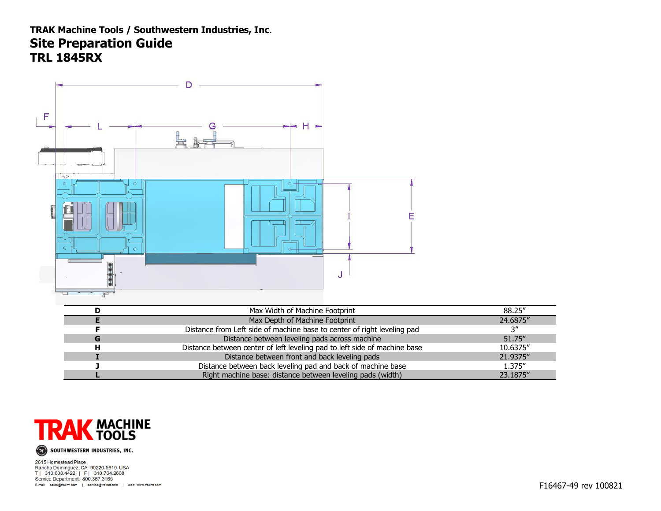# **TRAK Machine Tools / Southwestern Industries, Inc**. **Site Preparation Guide TRL 1845RX**





2615 Homestead Place Rancho Dominguez, CA 90220-5610 USA T| 310.608.4422 | F| 310.764.2668 Service Department: 800.367.3165 E-mail: sales@trakmt.com | service@trakmt.com | web: www.trakmt.com